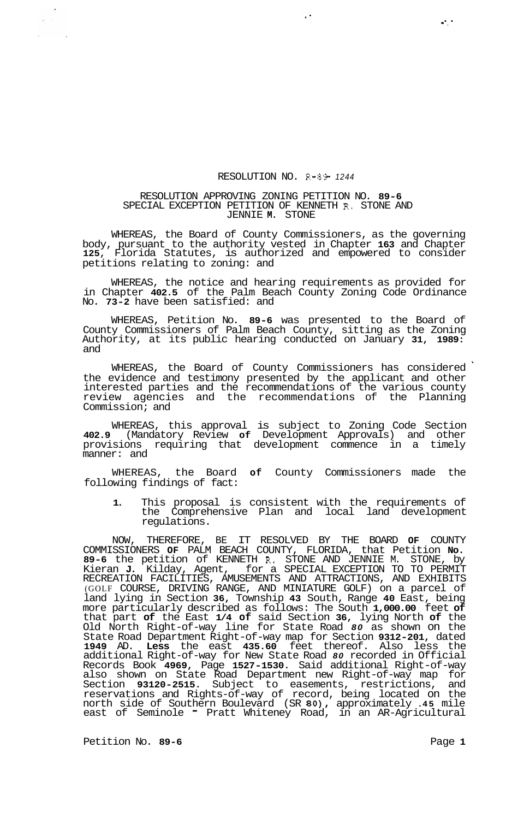## RESOLUTION NO. R-89- *<sup>1244</sup>*

 $\ddot{\phantom{1}}$  .

## RESOLUTION APPROVING ZONING PETITION NO. **89-6**  SPECIAL EXCEPTION PETITION OF KENNETH R. STONE AND JENNIE **M.** STONE

WHEREAS, the Board of County Commissioners, as the governing body, pursuant to the authority vested in Chapter **163** and Chapter **125,** Florida Statutes, is authorized and empowered to consider petitions relating to zoning: and

WHEREAS, the notice and hearing requirements as provided for in Chapter **402.5** of the Palm Beach County Zoning Code Ordinance No. **73-2** have been satisfied: and

WHEREAS, Petition No. **89-6** was presented to the Board of County Commissioners of Palm Beach County, sitting as the Zoning Authority, at its public hearing conducted on January **31, 1989:**  and

WHEREAS, the Board of County Commissioners has considered the evidence and testimony presented by the applicant and other interested parties and the recommendations of the various county review agencies and the recommendations of the Planning Commission; and

WHEREAS, this approval is subject to Zoning Code Section **402.9** (Mandatory Review **of** Development Approvals) and other provisions requiring that development commence in a timely manner: and

WHEREAS, the Board **of** County Commissioners made the following findings of fact:

**1.** This proposal is consistent with the requirements of the Comprehensive Plan and local land development regulations.

NOW, THEREFORE, BE IT RESOLVED BY THE BOARD **OF** COUNTY COMMISSIONERS **OF** PALM BEACH COUNTY, FLORIDA, that Petition **No. 89-6** the petition of KENNETH R. STONE AND JENNIE M. STONE, by Kieran **J.** Kilday, Agent, for a SPECIAL EXCEPTION TO TO PERMIT RECREATION FACILITIES, AMUSEMENTS AND ATTRACTIONS, AND EXHIBITS (GOLF COURSE, DRIVING RANGE, AND MINIATURE GOLF) on a parcel of land lying in Section **36,** Township **43** South, Range **40** East, being more particularly described as follows: The South **1,000.00** feet **of**  that part **of** the East **1/4 of** said Section **36,** lying North **of** the Old North Right-of-way line for State Road *80* as shown on the State Road Department Right-of-way map for Section **9312-201,** dated **1949** AD. **Less** the east **435.60** feet thereof. Also less the additional Right-of-way for New State Road *80* recorded in Official Records Book **4969,** Page **1527-1530.** Said additional Right-of-way also shown on State Road Department new Right-of-way map for Section **93120-2515.** Subject to easements, restrictions, and reservations and Rights-of-way of record, being located on the north side of Southern Boulevard (SR **80),** approximately **.45** mile east of Seminole - Pratt Whiteney Road, in an AR-Agricultural

Petition No. 89-6 **Petition No. 89-6 Page 1** 

*0.*  ..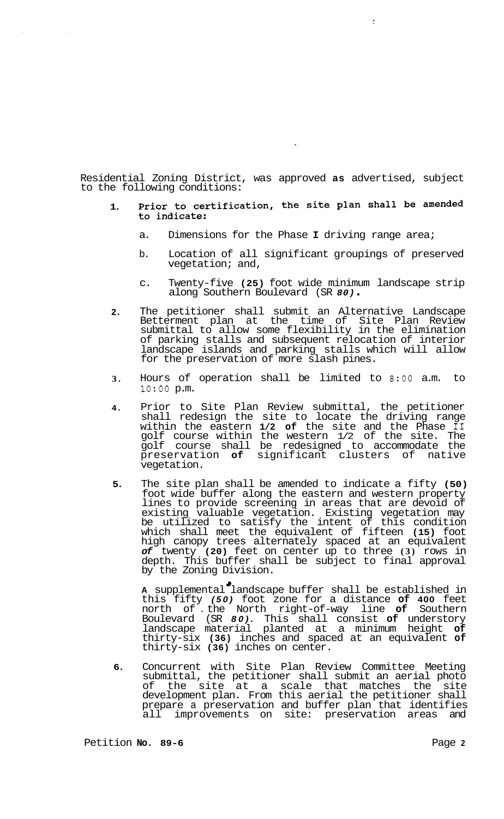Residential Zoning District, was approved **as** advertised, subject to the following conditions:

## Prior to certification, the site plan shall be amended **1.**  to indicate:

- a. Dimensions for the Phase **I** driving range area;
- b. Location of all significant groupings of preserved vegetation; and,
- c. Twenty-five **(25)** foot wide minimum landscape strip along Southern Boulevard (SR *80)* .
- **2.**  The petitioner shall submit an Alternative Landscape Betterment plan at the time of Site Plan Review submittal to allow some flexibility in the elimination of parking stalls and subsequent relocation of interior landscape islands and parking stalls which will allow for the preservation of more slash pines.
- **3.**  Hours of operation shall be limited to *8:OO* a.m. to 1o:oo p.m.
- **4.**  Prior to Site Plan Review submittal, the petitioner shall redesign the site to locate the driving range within the eastern **1/2 of** the site and the Phase **I1**  golf course within the western 1/2 of the site. The golf course shall be redesigned to accommodate the preservation **of** significant clusters of native vegetation.
- **5.**  The site plan shall be amended to indicate a fifty **(50)**  foot wide buffer along the eastern and western property lines to provide screening in areas that are devoid of existing valuable vegetation. Existing vegetation may be utilized to satisfy the intent of this condition which shall meet the equivalent of fifteen **(15)** foot high canopy trees alternately spaced at an equivalent *of* twenty **(20)** feet on center up to three **(3)** rows in depth. This buffer shall be subject to final approval by the Zoning Division.

**A** supplemental landscape buffer shall be established in this fifty *(50)* foot zone for a distance **of 400** feet north of . the North right-of-way line **of** Southern Boulevard (SR *80).* This shall consist **of** understory landscape material planted at a minimum height **of**  thirty-six **(36)** inches and spaced at an equivalent **of**  thirty-six **(36)** inches on center. *d* 

**6.**  Concurrent with Site Plan Review Committee Meeting submittal, the petitioner shall submit an aerial photo of the site at a scale that matches the site development plan. From this aerial the petitioner shall prepare a preservation and buffer plan that identifies all improvements on site: preservation areas and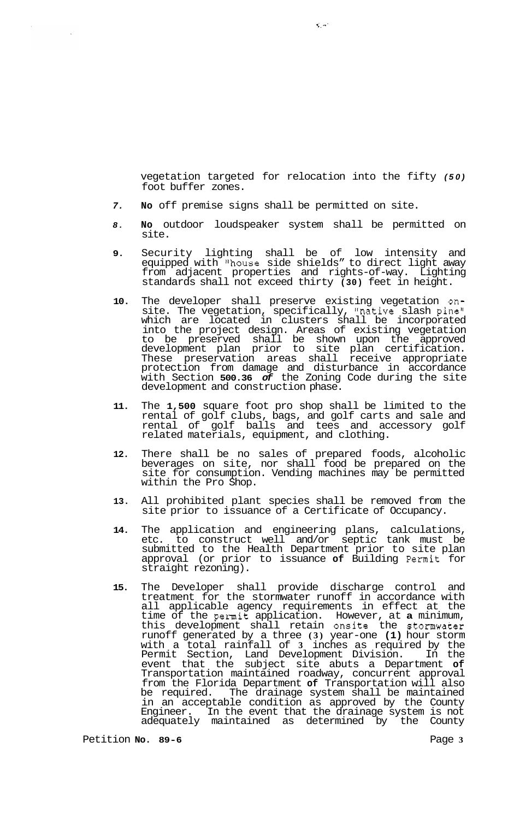vegetation targeted for relocation into the fifty *(50)*  foot buffer zones.

- *7.*  **No** off premise signs shall be permitted on site.
- *8.*  **No** outdoor loudspeaker system shall be permitted on site.
- **9.**  Security lighting shall be of low intensity and equipped with "house side shields" to direct light away from adjacent properties and rights-of-way. Lighting standards shall not exceed thirty **(30)** feet in height.
- **10.**  The developer shall preserve existing vegetation onsite. The vegetation, specifically, "native slash pine" which are located in clusters shall be incorporated into the project design. Areas of existing vegetation to be preserved shall be shown upon the approved development plan prior to site plan certification. These preservation areas shall receive appropriate protection from damage and disturbance in accordance with Section **500.36** *of* the Zoning Code during the site development and construction phase.
- **11.**  The **1,500** square foot pro shop shall be limited to the rental of golf clubs, bags, and golf carts and sale and rental of golf balls and tees and accessory golf related materials, equipment, and clothing.
- **12.**  There shall be no sales of prepared foods, alcoholic beverages on site, nor shall food be prepared on the site for consumption. Vending machines may be permitted within the Pro Shop.
- **13.**  All prohibited plant species shall be removed from the site prior to issuance of a Certificate of Occupancy.
- **14.**  The application and engineering plans, calculations, etc. to construct well and/or septic tank must be submitted to the Health Department prior to site plan approval (or prior to issuance **of** Building Permit for straight rezoning).
- **15.**  The Developer shall provide discharge control and treatment for the stormwater runoff in accordance with all applicable agency requirements in effect at the time of the permit application. However, at **a** minimum, this development shall retain onsite the stomwater runoff generated by a three **(3)** year-one **(1)** hour storm with a total rainfall of **3** inches as required by the Permit Section, Land Development Division. In the event that the subject site abuts a Department **of**  Transportation maintained roadway, concurrent approval from the Florida Department **of** Transportation will also be required. The drainage system shall be maintained in an acceptable condition as approved by the County Engineer. In the event that the drainage system is not adequately maintained as determined by the County

Petition **No.** 89-6 **Page 3 Page 3**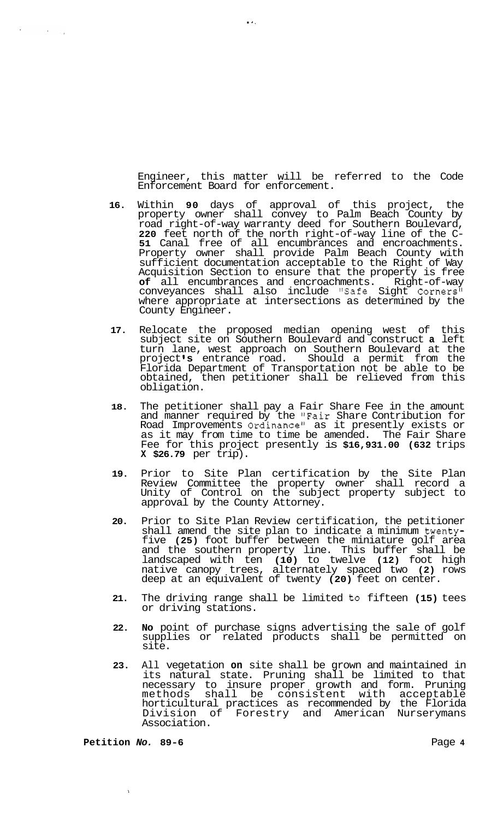Engineer, this matter will be referred to the Code Enforcement Board for enforcement.

 $\mathbf{r}$  .

 $\mathbf{v} = \mathbf{v}$ 

 $\sim 80\,$  meV

- **16.** Within **90** days of approval of this project, the property owner shall convey to Palm Beach County by road right-of-way warranty deed for Southern Boulevard, **<sup>220</sup>**feet north of the north right-of-way line of the C- **51** Canal free of all encumbrances and encroachments. Property owner shall provide Palm Beach County with sufficient documentation acceptable to the Right of Way Acquisition Section to ensure that the property is free **of** all encumbrances and encroachments. Right-of-way conveyances shall also include "Safe Sight Corners" where appropriate at intersections as determined by the County Engineer.
- **17.** Relocate the proposed median opening west of this subject site on Southern Boulevard and construct **a** left turn lane, west approach on Southern Boulevard at the project **s** entrance road. Should a permit from the Florida Department of Transportation not be able to be obtained, then petitioner shall be relieved from this obligation.
- **18.** The petitioner shall pay a Fair Share Fee in the amount and manner required by the "Fair Share Contribution for Road Improvements Ordinance" as it presently exists or as it may from time to time be amended. The Fair Share Fee for this project presently is **\$16,931.00 (632** trips **X \$26.79** per trip).
- **19.** Prior to Site Plan certification by the Site Plan Review Committee the property owner shall record a Unity of Control on the subject property subject to approval by the County Attorney.
- **20.** Prior to Site Plan Review certification, the petitioner shall amend the site plan to indicate a minimum twentyfive **(25)** foot buffer between the miniature golf area and the southern property line. This buffer shall be landscaped with ten **(10)** to twelve **(12)** foot high native canopy trees, alternately spaced two **(2)** rows deep at an equivalent of twenty **(20)** feet on center.
- **21.** The driving range shall be limited to fifteen **(15)** tees or driving stations.
- **22. No** point of purchase signs advertising the sale of golf supplies or related products shall be permitted on site.
- **23.** All vegetation **on** site shall be grown and maintained in its natural state. Pruning shall be limited to that necessary to insure proper growth and form. Pruning methods shall be consistent with acceptable horticultural practices as recommended by the Florida Division of Forestry and American Nurserymans Association.

**Petition** *No.* **89-6 <b>Page 4 Page 4** 

 $\bar{1}$